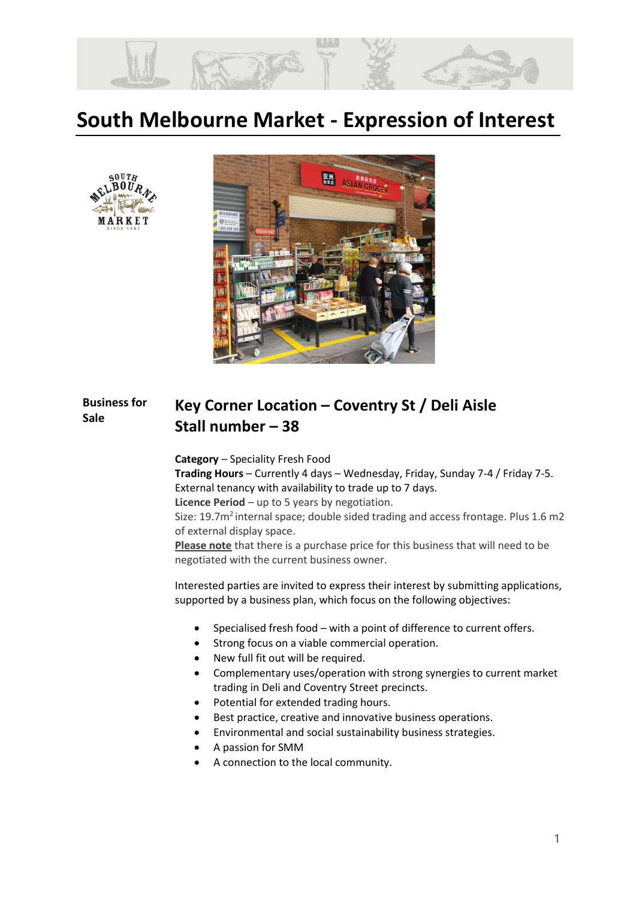

# **South Melbourne Market - Expression of Interest**





### **Business for Sale Key Corner Location – Coventry St / Deli Aisle Stall number – 38**

**Category** – Speciality Fresh Food

**Trading Hours** – Currently 4 days – Wednesday, Friday, Sunday 7-4 / Friday 7-5. External tenancy with availability to trade up to 7 days.

**Licence Period** – up to 5 years by negotiation.

Size: 19.7m<sup>2</sup> internal space; double sided trading and access frontage. Plus 1.6 m2 of external display space.

**Please note** that there is a purchase price for this business that will need to be negotiated with the current business owner.

Interested parties are invited to express their interest by submitting applications, supported by a business plan, which focus on the following objectives:

- Specialised fresh food with a point of difference to current offers.
- Strong focus on a viable commercial operation.
- New full fit out will be required.
- Complementary uses/operation with strong synergies to current market trading in Deli and Coventry Street precincts.
- Potential for extended trading hours.
- Best practice, creative and innovative business operations.
- Environmental and social sustainability business strategies.
- A passion for SMM
- A connection to the local community.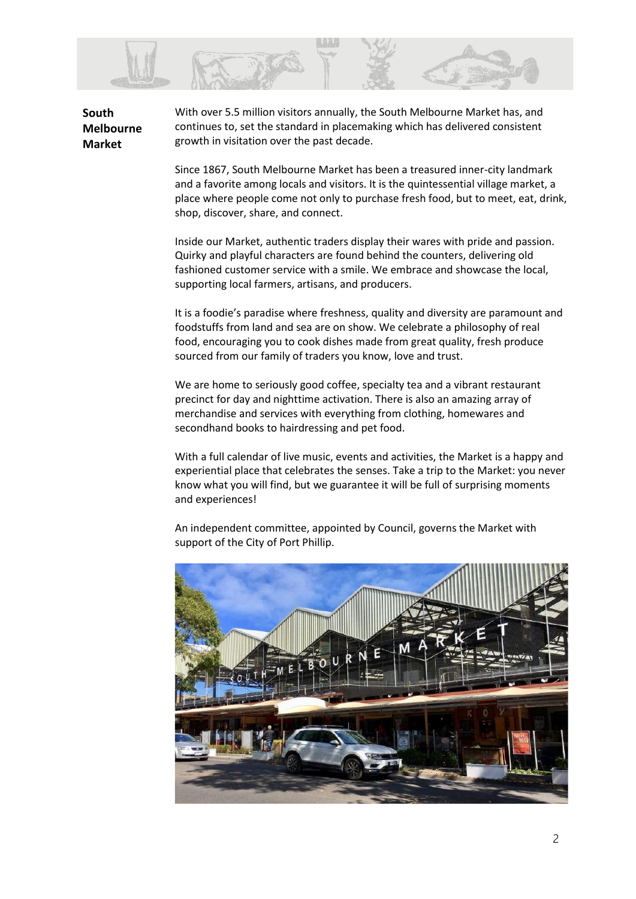

**South Melbourne Market** 

With over 5.5 million visitors annually, the South Melbourne Market has, and continues to, set the standard in placemaking which has delivered consistent growth in visitation over the past decade.

Since 1867, South Melbourne Market has been a treasured inner-city landmark and a favorite among locals and visitors. It is the quintessential village market, a place where people come not only to purchase fresh food, but to meet, eat, drink, shop, discover, share, and connect.

Inside our Market, authentic traders display their wares with pride and passion. Quirky and playful characters are found behind the counters, delivering old fashioned customer service with a smile. We embrace and showcase the local, supporting local farmers, artisans, and producers.

It is a foodie's paradise where freshness, quality and diversity are paramount and foodstuffs from land and sea are on show. We celebrate a philosophy of real food, encouraging you to cook dishes made from great quality, fresh produce sourced from our family of traders you know, love and trust.

We are home to seriously good coffee, specialty tea and a vibrant restaurant precinct for day and nighttime activation. There is also an amazing array of merchandise and services with everything from clothing, homewares and secondhand books to hairdressing and pet food.

With a full calendar of live music, events and activities, the Market is a happy and experiential place that celebrates the senses. Take a trip to the Market: you never know what you will find, but we guarantee it will be full of surprising moments and experiences!

An independent committee, appointed by Council, governs the Market with support of the City of Port Phillip.

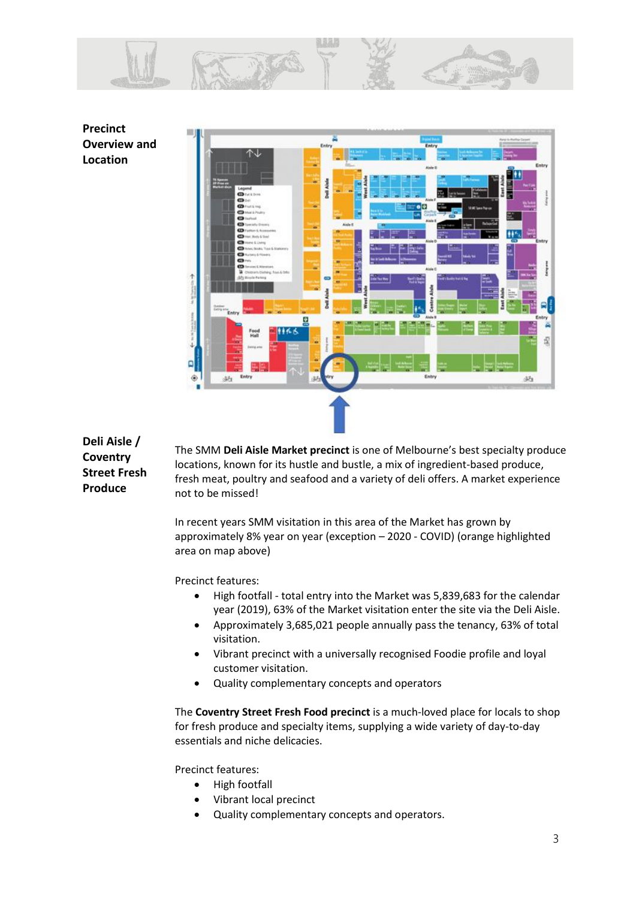

**Precinct Overview and Location**



**Deli Aisle / Coventry Street Fresh Produce**

The SMM **Deli Aisle Market precinct** is one of Melbourne's best specialty produce locations, known for its hustle and bustle, a mix of ingredient-based produce, fresh meat, poultry and seafood and a variety of deli offers. A market experience not to be missed!

In recent years SMM visitation in this area of the Market has grown by approximately 8% year on year (exception – 2020 - COVID) (orange highlighted area on map above)

Precinct features:

- High footfall total entry into the Market was 5,839,683 for the calendar year (2019), 63% of the Market visitation enter the site via the Deli Aisle.
- Approximately 3,685,021 people annually pass the tenancy, 63% of total visitation.
- Vibrant precinct with a universally recognised Foodie profile and loyal customer visitation.
- Quality complementary concepts and operators

The **Coventry Street Fresh Food precinct** is a much-loved place for locals to shop for fresh produce and specialty items, supplying a wide variety of day-to-day essentials and niche delicacies.

Precinct features:

- High footfall
- Vibrant local precinct
- Quality complementary concepts and operators.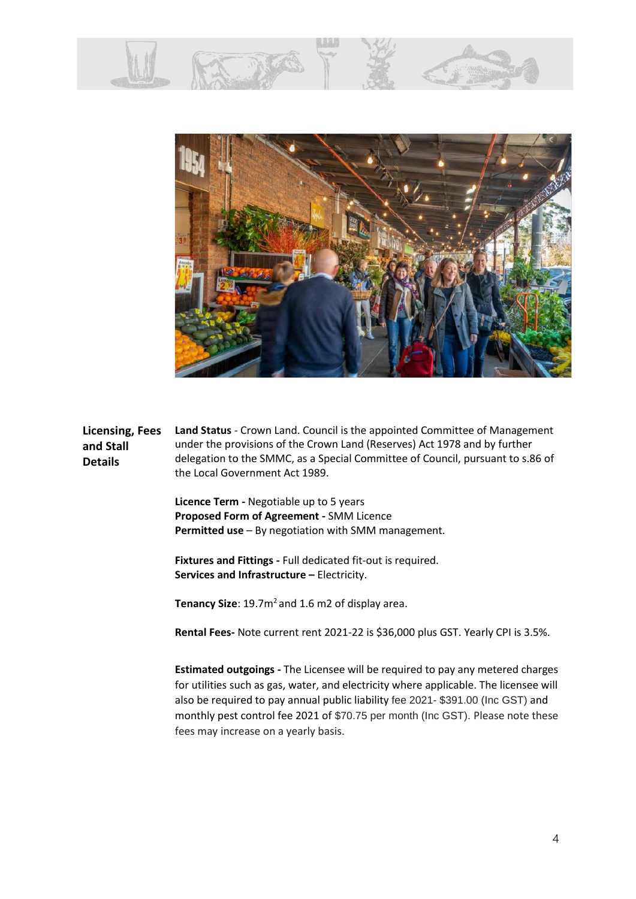



**Licensing, Fees and Stall Details Land Status** - Crown Land. Council is the appointed Committee of Management under the provisions of the Crown Land (Reserves) Act 1978 and by further delegation to the SMMC, as a Special Committee of Council, pursuant to s.86 of the Local Government Act 1989.

> **Licence Term -** Negotiable up to 5 years **Proposed Form of Agreement -** SMM Licence **Permitted use** – By negotiation with SMM management.

**Fixtures and Fittings -** Full dedicated fit-out is required. **Services and Infrastructure –** Electricity.

Tenancy Size: 19.7m<sup>2</sup> and 1.6 m2 of display area.

**Rental Fees-** Note current rent 2021-22 is \$36,000 plus GST. Yearly CPI is 3.5%.

**Estimated outgoings -** The Licensee will be required to pay any metered charges for utilities such as gas, water, and electricity where applicable. The licensee will also be required to pay annual public liability fee 2021- \$391.00 (Inc GST) and monthly pest control fee 2021 of \$70.75 per month (Inc GST). Please note these fees may increase on a yearly basis.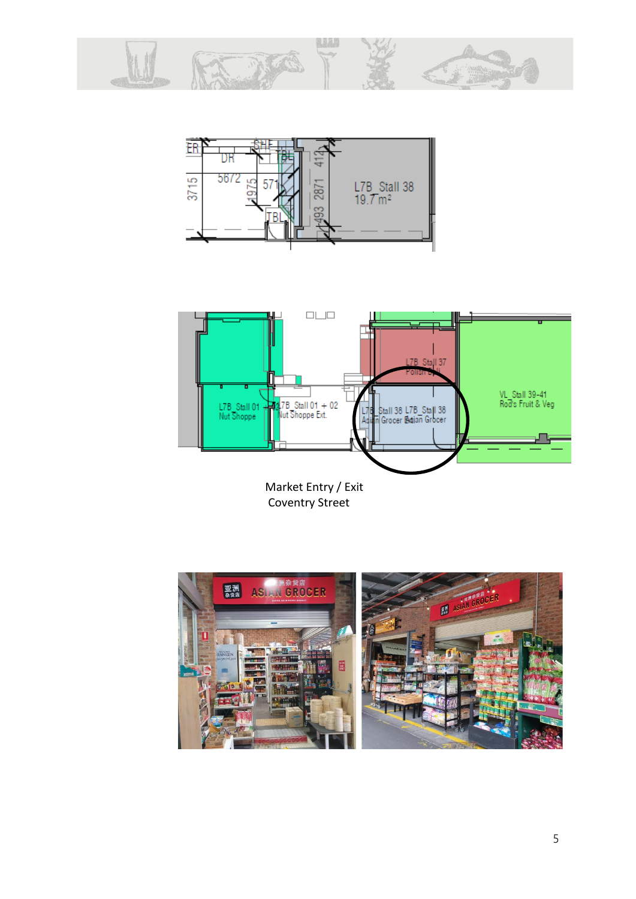





Coventry Street